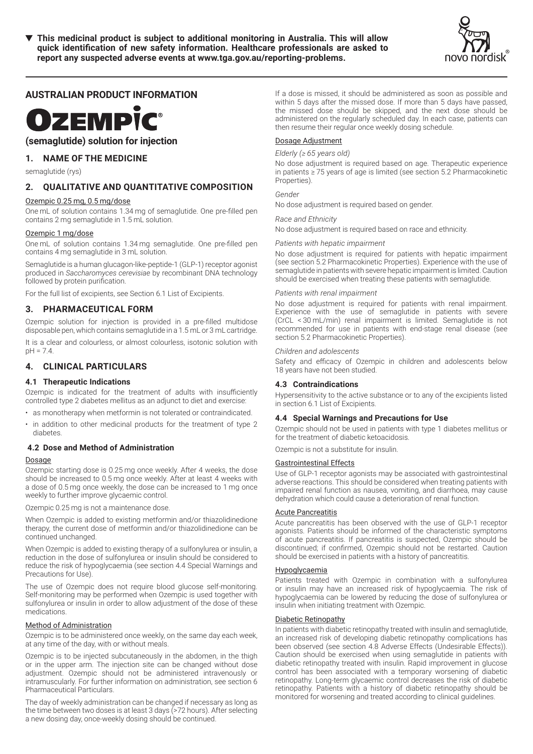

# **AUSTRALIAN PRODUCT INFORMATION**

# **OZEMPİC®**

**(semaglutide) solution for injection**

# **1. NAME OF THE MEDICINE**

semaglutide (rys)

# **2. QUALITATIVE AND QUANTITATIVE COMPOSITION**

## Ozempic 0.25 mg, 0.5 mg/dose

One mL of solution contains 1.34 mg of semaglutide. One pre-filled pen contains 2 mg semaglutide in 1.5 mL solution.

## Ozempic 1 mg/dose

One mL of solution contains 1.34 mg semaglutide. One pre-filled pen contains 4 mg semaglutide in 3 mL solution.

Semaglutide is a human glucagon-like-peptide-1 (GLP-1) receptor agonist produced in *Saccharomyces cerevisiae* by recombinant DNA technology followed by protein purification.

For the full list of excipients, see Section 6.1 List of Excipients.

# **3. PHARMACEUTICAL FORM**

Ozempic solution for injection is provided in a pre-filled multidose disposable pen, which contains semaglutide in a 1.5 mL or 3 mL cartridge.

It is a clear and colourless, or almost colourless, isotonic solution with pH = 7.4.

# **4. CLINICAL PARTICULARS**

## **4.1 Therapeutic Indications**

Ozempic is indicated for the treatment of adults with insufficiently controlled type 2 diabetes mellitus as an adjunct to diet and exercise:

- as monotherapy when metformin is not tolerated or contraindicated.
- in addition to other medicinal products for the treatment of type 2 diabetes.

# **4.2 Dose and Method of Administration**

## Dosage

Ozempic starting dose is 0.25 mg once weekly. After 4 weeks, the dose should be increased to 0.5 mg once weekly. After at least 4 weeks with a dose of 0.5 mg once weekly, the dose can be increased to 1 mg once weekly to further improve glycaemic control.

Ozempic 0.25 mg is not a maintenance dose.

When Ozempic is added to existing metformin and/or thiazolidinedione therapy, the current dose of metformin and/or thiazolidinedione can be continued unchanged.

When Ozempic is added to existing therapy of a sulfonylurea or insulin, a reduction in the dose of sulfonylurea or insulin should be considered to reduce the risk of hypoglycaemia (see section 4.4 Special Warnings and Precautions for Use).

The use of Ozempic does not require blood glucose self-monitoring. Self-monitoring may be performed when Ozempic is used together with sulfonylurea or insulin in order to allow adjustment of the dose of these medications.

## Method of Administration

Ozempic is to be administered once weekly, on the same day each week, at any time of the day, with or without meals.

Ozempic is to be injected subcutaneously in the abdomen, in the thigh or in the upper arm. The injection site can be changed without dose adjustment. Ozempic should not be administered intravenously or intramuscularly. For further information on administration, see section 6 Pharmaceutical Particulars.

The day of weekly administration can be changed if necessary as long as the time between two doses is at least 3 days (>72 hours). After selecting a new dosing day, once-weekly dosing should be continued.

If a dose is missed, it should be administered as soon as possible and within 5 days after the missed dose. If more than 5 days have passed, the missed dose should be skipped, and the next dose should be administered on the regularly scheduled day. In each case, patients can then resume their regular once weekly dosing schedule.

# Dosage Adjustment

# *Elderly (≥ 65 years old)*

No dose adjustment is required based on age. Therapeutic experience in patients ≥ 75 years of age is limited (see section 5.2 Pharmacokinetic Properties).

## *Gender*

No dose adjustment is required based on gender.

## *Race and Ethnicity*

No dose adjustment is required based on race and ethnicity.

## *Patients with hepatic impairment*

No dose adjustment is required for patients with hepatic impairment (see section 5.2 Pharmacokinetic Properties). Experience with the use of semaglutide in patients with severe hepatic impairment is limited. Caution should be exercised when treating these patients with semaglutide.

## *Patients with renal impairment*

No dose adjustment is required for patients with renal impairment. Experience with the use of semaglutide in patients with severe (CrCL < 30 mL/min) renal impairment is limited. Semaglutide is not recommended for use in patients with end-stage renal disease (see section 5.2 Pharmacokinetic Properties).

## *Children and adolescents*

Safety and efficacy of Ozempic in children and adolescents below 18 years have not been studied.

## **4.3 Contraindications**

Hypersensitivity to the active substance or to any of the excipients listed in section 6.1 List of Excipients.

## **4.4 Special Warnings and Precautions for Use**

Ozempic should not be used in patients with type 1 diabetes mellitus or for the treatment of diabetic ketoacidosis.

Ozempic is not a substitute for insulin.

# Gastrointestinal Effects

Use of GLP-1 receptor agonists may be associated with gastrointestinal adverse reactions. This should be considered when treating patients with impaired renal function as nausea, vomiting, and diarrhoea, may cause dehydration which could cause a deterioration of renal function.

## Acute Pancreatitis

Acute pancreatitis has been observed with the use of GLP-1 receptor agonists. Patients should be informed of the characteristic symptoms of acute pancreatitis. If pancreatitis is suspected, Ozempic should be discontinued; if confirmed, Ozempic should not be restarted. Caution should be exercised in patients with a history of pancreatitis.

## **Hypoglycaemia**

Patients treated with Ozempic in combination with a sulfonylurea or insulin may have an increased risk of hypoglycaemia. The risk of hypoglycaemia can be lowered by reducing the dose of sulfonylurea or insulin when initiating treatment with Ozempic.

## Diabetic Retinopathy

In patients with diabetic retinopathy treated with insulin and semaglutide, an increased risk of developing diabetic retinopathy complications has been observed (see section 4.8 Adverse Effects (Undesirable Effects)). Caution should be exercised when using semaglutide in patients with diabetic retinopathy treated with insulin. Rapid improvement in glucose control has been associated with a temporary worsening of diabetic retinopathy. Long-term glycaemic control decreases the risk of diabetic retinopathy. Patients with a history of diabetic retinopathy should be monitored for worsening and treated according to clinical guidelines.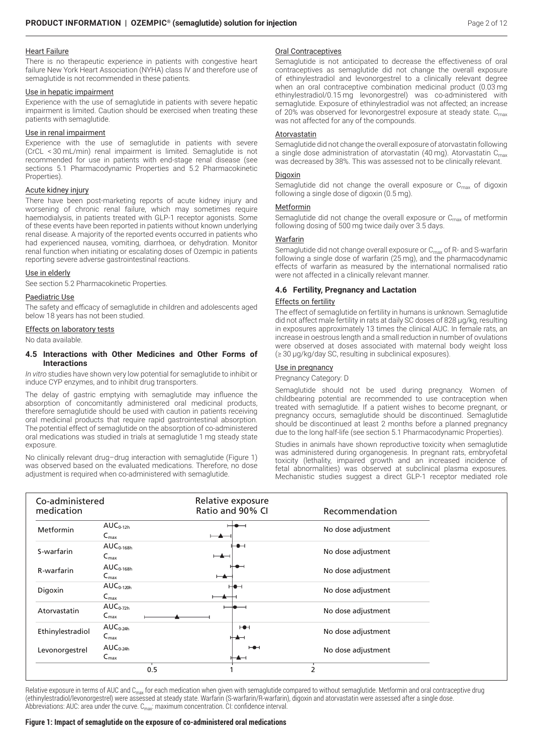# Heart Failure

There is no therapeutic experience in patients with congestive heart failure New York Heart Association (NYHA) class IV and therefore use of semaglutide is not recommended in these patients.

## Use in hepatic impairment

Experience with the use of semaglutide in patients with severe hepatic impairment is limited. Caution should be exercised when treating these patients with semaglutide.

## Use in renal impairment

Experience with the use of semaglutide in patients with severe (CrCL < 30 mL/min) renal impairment is limited. Semaglutide is not recommended for use in patients with end-stage renal disease (see sections 5.1 Pharmacodynamic Properties and 5.2 Pharmacokinetic Properties).

## Acute kidney injury

There have been post-marketing reports of acute kidney injury and worsening of chronic renal failure, which may sometimes require haemodialysis, in patients treated with GLP-1 receptor agonists. Some of these events have been reported in patients without known underlying renal disease. A majority of the reported events occurred in patients who had experienced nausea, vomiting, diarrhoea, or dehydration. Monitor renal function when initiating or escalating doses of Ozempic in patients reporting severe adverse gastrointestinal reactions.

## Use in elderly

See section 5.2 Pharmacokinetic Properties.

## Paediatric Use

The safety and efficacy of semaglutide in children and adolescents aged below 18 years has not been studied.

## Effects on laboratory tests

No data available.

## **4.5 Interactions with Other Medicines and Other Forms of Interactions**

*In vitro* studies have shown very low potential for semaglutide to inhibit or induce CYP enzymes, and to inhibit drug transporters.

The delay of gastric emptying with semaglutide may influence the absorption of concomitantly administered oral medicinal products, therefore semaglutide should be used with caution in patients receiving oral medicinal products that require rapid gastrointestinal absorption. The potential effect of semaglutide on the absorption of co-administered oral medications was studied in trials at semaglutide 1 mg steady state exposure.

No clinically relevant drug–drug interaction with semaglutide (Figure 1) was observed based on the evaluated medications. Therefore, no dose adjustment is required when co-administered with semaglutide.

# Oral Contraceptives

Semaglutide is not anticipated to decrease the effectiveness of oral contraceptives as semaglutide did not change the overall exposure of ethinylestradiol and levonorgestrel to a clinically relevant degree when an oral contraceptive combination medicinal product (0.03 mg ethinylestradiol/0.15 mg levonorgestrel) was co-administered with semaglutide. Exposure of ethinylestradiol was not affected; an increase of 20% was observed for levonorgestrel exposure at steady state. C<sub>max</sub> was not affected for any of the compounds.

## Atorvastatin

Semaglutide did not change the overall exposure of atorvastatin following a single dose administration of atorvastatin (40 mg). Atorvastatin  $C_{\text{max}}$ was decreased by 38%. This was assessed not to be clinically relevant.

## **Digoxin**

Semaglutide did not change the overall exposure or  $C_{\text{max}}$  of digoxin following a single dose of digoxin (0.5 mg).

## **Metformin**

Semaglutide did not change the overall exposure or  $C_{\text{max}}$  of metformin following dosing of 500 mg twice daily over 3.5 days.

## Warfarin

Semaglutide did not change overall exposure or  $C_{\text{max}}$  of R- and S-warfarin following a single dose of warfarin (25 mg), and the pharmacodynamic effects of warfarin as measured by the international normalised ratio were not affected in a clinically relevant manner.

## **4.6 Fertility, Pregnancy and Lactation**

## Effects on fertility

The effect of semaglutide on fertility in humans is unknown. Semaglutide did not affect male fertility in rats at daily SC doses of 828 μg/kg, resulting in exposures approximately 13 times the clinical AUC. In female rats, an increase in oestrous length and a small reduction in number of ovulations were observed at doses associated with maternal body weight loss (≥ 30 μg/kg/day SC, resulting in subclinical exposures).

## Use in pregnancy

Pregnancy Category: D

Semaglutide should not be used during pregnancy. Women of childbearing potential are recommended to use contraception when treated with semaglutide. If a patient wishes to become pregnant, or pregnancy occurs, semaglutide should be discontinued. Semaglutide should be discontinued at least 2 months before a planned pregnancy due to the long half-life (see section 5.1 Pharmacodynamic Properties).

Studies in animals have shown reproductive toxicity when semaglutide was administered during organogenesis. In pregnant rats, embryofetal toxicity (lethality, impaired growth and an increased incidence of fetal abnormalities) was observed at subclinical plasma exposures. Mechanistic studies suggest a direct GLP-1 receptor mediated role

| Co-administered<br>medication |                                              |                          | Relative exposure<br>Ratio and 90% CI | Recommendation     |
|-------------------------------|----------------------------------------------|--------------------------|---------------------------------------|--------------------|
| Metformin                     | $AUC0-12h$<br>$C_{\text{max}}$               |                          |                                       | No dose adjustment |
| S-warfarin                    | $AUC0-168h$<br>$C_{\text{max}}$              | ⊢▲─                      | ⊢●⊣                                   | No dose adjustment |
| R-warfarin                    | $AUC0-168h$<br>$C_{\text{max}}$              | $\overline{\phantom{a}}$ |                                       | No dose adjustment |
| Digoxin                       | $AUC_{0-120h}$<br>$C_{\text{max}}$           |                          | ⊷                                     | No dose adjustment |
| Atorvastatin                  | $AUC_{0-72h}$<br>$\mathsf{C}_{\mathsf{max}}$ |                          |                                       | No dose adjustment |
| Ethinylestradiol              | $AUC_{0-24h}$<br>$C_{\text{max}}$            |                          | H                                     | No dose adjustment |
| Levonorgestrel                | $AUC_{0-24h}$<br>$C_{\text{max}}$            |                          | ⊢⊕⊣<br>⊢▲⊣                            | No dose adjustment |
|                               |                                              | 0.5                      |                                       |                    |

Relative exposure in terms of AUC and C<sub>max</sub> for each medication when given with semaglutide compared to without semaglutide. Metformin and oral contraceptive drug (ethinylestradiol/levonorgestrel) were assessed at steady state. Warfarin (S-warfarin/R-warfarin), digoxin and atorvastatin were assessed after a single dose. Abbreviations: AUC: area under the curve.  $C_{\text{max}}$ : maximum concentration. CI: confidence interval.

## **Figure 1: Impact of semaglutide on the exposure of co-administered oral medications**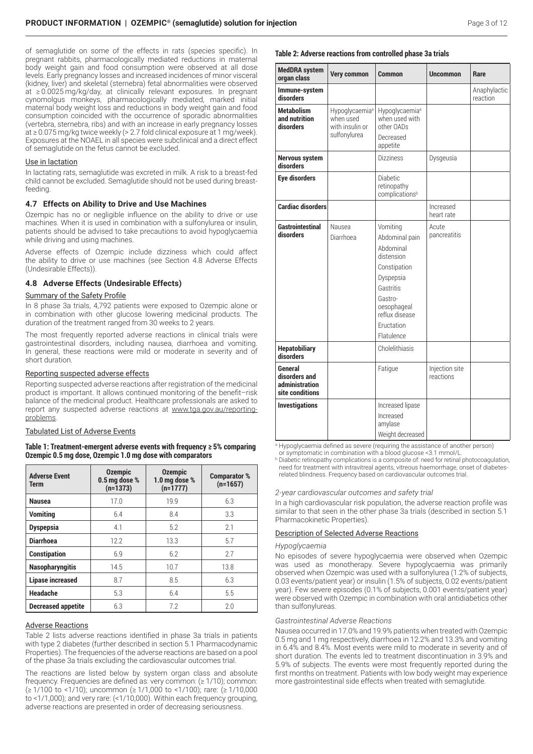of semaglutide on some of the effects in rats (species specific). In pregnant rabbits, pharmacologically mediated reductions in maternal body weight gain and food consumption were observed at all dose levels. Early pregnancy losses and increased incidences of minor visceral (kidney, liver) and skeletal (sternebra) fetal abnormalities were observed at ≥ 0.0025 mg/kg/day, at clinically relevant exposures. In pregnant cynomolgus monkeys, pharmacologically mediated, marked initial maternal body weight loss and reductions in body weight gain and food consumption coincided with the occurrence of sporadic abnormalities (vertebra, sternebra, ribs) and with an increase in early pregnancy losses at ≥ 0.075 mg/kg twice weekly (> 2.7 fold clinical exposure at 1 mg/week). Exposures at the NOAEL in all species were subclinical and a direct effect of semaglutide on the fetus cannot be excluded.

## Use in lactation

In lactating rats, semaglutide was excreted in milk. A risk to a breast-fed child cannot be excluded. Semaglutide should not be used during breastfeeding.

## **4.7 Effects on Ability to Drive and Use Machines**

Ozempic has no or negligible influence on the ability to drive or use machines. When it is used in combination with a sulfonylurea or insulin, patients should be advised to take precautions to avoid hypoglycaemia while driving and using machines.

Adverse effects of Ozempic include dizziness which could affect the ability to drive or use machines (see Section 4.8 Adverse Effects (Undesirable Effects)).

## **4.8 Adverse Effects (Undesirable Effects)**

## Summary of the Safety Profile

In 8 phase 3a trials, 4,792 patients were exposed to Ozempic alone or in combination with other glucose lowering medicinal products. The duration of the treatment ranged from 30 weeks to 2 years.

The most frequently reported adverse reactions in clinical trials were gastrointestinal disorders, including nausea, diarrhoea and vomiting. In general, these reactions were mild or moderate in severity and of short duration.

#### Reporting suspected adverse effects

Reporting suspected adverse reactions after registration of the medicinal product is important. It allows continued monitoring of the benefit–risk balance of the medicinal product. Healthcare professionals are asked to report any suspected adverse reactions at www.tga.gov.au/reportingproblems.

## Tabulated List of Adverse Events

**Table 1: Treatment-emergent adverse events with frequency ≥ 5% comparing Ozempic 0.5 mg dose, Ozempic 1.0 mg dose with comparators**

| <b>Adverse Event</b><br>Term | <b>Ozempic</b><br>0.5 mg dose %<br>$(n=1373)$ | <b>Ozempic</b><br>1.0 mg dose %<br>$(n=1777)$ | <b>Comparator %</b><br>$(n=1657)$ |
|------------------------------|-----------------------------------------------|-----------------------------------------------|-----------------------------------|
| <b>Nausea</b>                | 17.0                                          | 19.9                                          | 6.3                               |
| <b>Vomiting</b>              | 6.4                                           | 8.4                                           | 3.3                               |
| <b>Dyspepsia</b>             | 4.1                                           | 5.2                                           | 2.1                               |
| <b>Diarrhoea</b>             | 12.2                                          | 13.3                                          | 5.7                               |
| <b>Constipation</b>          | 6.9                                           | 6.2                                           | 2.7                               |
| <b>Nasopharyngitis</b>       | 14.5                                          | 10.7                                          | 13.8                              |
| <b>Lipase increased</b>      | 8.7                                           | 8.5                                           | 6.3                               |
| Headache                     | 5.3                                           | 6.4                                           | 5.5                               |
| <b>Decreased appetite</b>    | 6.3                                           | 7.2                                           | 2.0                               |

#### Adverse Reactions

Table 2 lists adverse reactions identified in phase 3a trials in patients with type 2 diabetes (further described in section 5.1 Pharmacodynamic Properties). The frequencies of the adverse reactions are based on a pool of the phase 3a trials excluding the cardiovascular outcomes trial.

The reactions are listed below by system organ class and absolute frequency. Frequencies are defined as: very common: (≥ 1/10); common: (≥ 1/100 to <1/10); uncommon (≥ 1/1,000 to <1/100); rare: (≥ 1/10,000 to <1/1,000); and very rare: (<1/10,000). Within each frequency grouping, adverse reactions are presented in order of decreasing seriousness.

## **Table 2: Adverse reactions from controlled phase 3a trials**

| <b>MedDRA</b> system<br>organ class                                  | <b>Very common</b>                                                         | <b>Common</b>                                                                                                                                                           | <b>Uncommon</b>             | Rare                     |
|----------------------------------------------------------------------|----------------------------------------------------------------------------|-------------------------------------------------------------------------------------------------------------------------------------------------------------------------|-----------------------------|--------------------------|
| Immune-system<br>disorders                                           |                                                                            |                                                                                                                                                                         |                             | Anaphylactic<br>reaction |
| <b>Metabolism</b><br>and nutrition<br>disorders                      | Hypoglycaemia <sup>a</sup><br>when used<br>with insulin or<br>sulfonylurea | Hypoglycaemia <sup>a</sup><br>when used with<br>other OADs<br>Decreased<br>appetite                                                                                     |                             |                          |
| <b>Nervous system</b><br>disorders                                   |                                                                            | <b>Dizziness</b>                                                                                                                                                        | Dysgeusia                   |                          |
| <b>Eye disorders</b>                                                 |                                                                            | <b>Diabetic</b><br>retinopathy<br>complications <sup>b</sup>                                                                                                            |                             |                          |
| <b>Cardiac disorders</b>                                             |                                                                            |                                                                                                                                                                         | Increased<br>heart rate     |                          |
| <b>Gastrointestinal</b><br>disorders                                 | Nausea<br>Diarrhoea                                                        | Vomiting<br>Abdominal pain<br>Abdominal<br>distension<br>Constipation<br>Dyspepsia<br>Gastritis<br>Gastro-<br>oesophageal<br>reflux disease<br>Eructation<br>Flatulence | Acute<br>pancreatitis       |                          |
| <b>Hepatobiliary</b><br>disorders                                    |                                                                            | Cholelithiasis                                                                                                                                                          |                             |                          |
| <b>General</b><br>disorders and<br>administration<br>site conditions |                                                                            | Fatigue                                                                                                                                                                 | Injection site<br>reactions |                          |
| <b>Investigations</b><br>allingarluggania defined.                   |                                                                            | Increased lipase<br>Increased<br>amylase<br>Weight decreased<br>$($ roguiring the conjetence                                                                            | $\alpha$ f anatharna        | $\sqrt{2}$               |

<sup>a</sup> Hypoglycaemia defined as severe (requiring the assistance of another person)

or symptomatic in combination with a blood glucose <3.1 mmol/L.

**b** Diabetic retinopathy complications is a composite of: need for retinal photocoagulation, need for treatment with intravitreal agents, vitreous haemorrhage, onset of diabetesrelated blindness. Frequency based on cardiovascular outcomes trial.

#### *2-year cardiovascular outcomes and safety trial*

In a high cardiovascular risk population, the adverse reaction profile was similar to that seen in the other phase 3a trials (described in section 5.1 Pharmacokinetic Properties).

## Description of Selected Adverse Reactions

#### *Hypoglycaemia*

No episodes of severe hypoglycaemia were observed when Ozempic was used as monotherapy. Severe hypoglycaemia was primarily observed when Ozempic was used with a sulfonylurea (1.2% of subjects, 0.03 events/patient year) or insulin (1.5% of subjects, 0.02 events/patient year). Few severe episodes (0.1% of subjects, 0.001 events/patient year) were observed with Ozempic in combination with oral antidiabetics other than sulfonylureas.

#### *Gastrointestinal Adverse Reactions*

Nausea occurred in 17.0% and 19.9% patients when treated with Ozempic 0.5 mg and 1 mg respectively, diarrhoea in 12.2% and 13.3% and vomiting in 6.4% and 8.4%. Most events were mild to moderate in severity and of short duration. The events led to treatment discontinuation in 3.9% and 5.9% of subjects. The events were most frequently reported during the first months on treatment. Patients with low body weight may experience more gastrointestinal side effects when treated with semaglutide.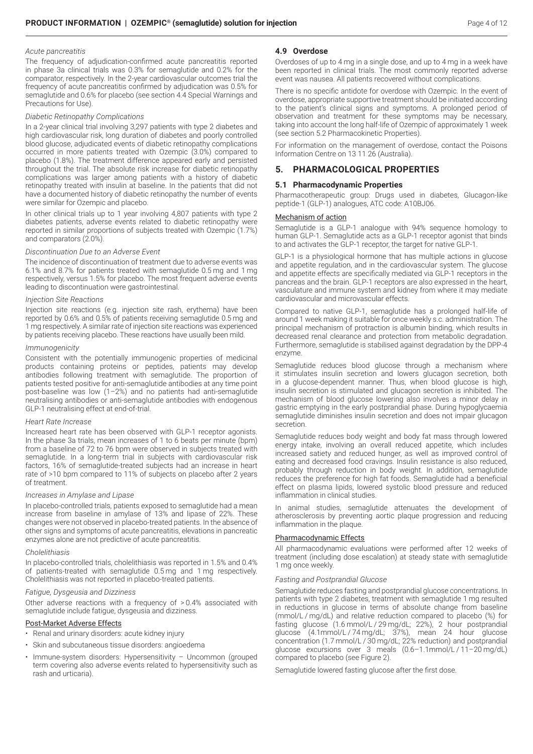#### *Acute pancreatitis*

The frequency of adjudication-confirmed acute pancreatitis reported in phase 3a clinical trials was 0.3% for semaglutide and 0.2% for the comparator, respectively. In the 2-year cardiovascular outcomes trial the frequency of acute pancreatitis confirmed by adjudication was 0.5% for semaglutide and 0.6% for placebo (see section 4.4 Special Warnings and Precautions for Use).

#### *Diabetic Retinopathy Complications*

In a 2-year clinical trial involving 3,297 patients with type 2 diabetes and high cardiovascular risk, long duration of diabetes and poorly controlled blood glucose, adjudicated events of diabetic retinopathy complications occurred in more patients treated with Ozempic (3.0%) compared to placebo (1.8%). The treatment difference appeared early and persisted throughout the trial. The absolute risk increase for diabetic retinopathy complications was larger among patients with a history of diabetic retinopathy treated with insulin at baseline. In the patients that did not have a documented history of diabetic retinopathy the number of events were similar for Ozempic and placebo.

In other clinical trials up to 1 year involving 4,807 patients with type 2 diabetes patients, adverse events related to diabetic retinopathy were reported in similar proportions of subjects treated with Ozempic (1.7%) and comparators (2.0%).

## *Discontinuation Due to an Adverse Event*

The incidence of discontinuation of treatment due to adverse events was 6.1% and 8.7% for patients treated with semaglutide 0.5 mg and 1 mg respectively, versus 1.5% for placebo. The most frequent adverse events leading to discontinuation were gastrointestinal.

#### *Injection Site Reactions*

Injection site reactions (e.g. injection site rash, erythema) have been reported by 0.6% and 0.5% of patients receiving semaglutide 0.5 mg and 1 mg respectively. A similar rate of injection site reactions was experienced by patients receiving placebo. These reactions have usually been mild.

#### *Immunogenicity*

Consistent with the potentially immunogenic properties of medicinal products containing proteins or peptides, patients may develop antibodies following treatment with semaglutide. The proportion of patients tested positive for anti-semaglutide antibodies at any time point post-baseline was low (1–2%) and no patients had anti-semaglutide neutralising antibodies or anti-semaglutide antibodies with endogenous GLP-1 neutralising effect at end-of-trial.

## *Heart Rate Increase*

Increased heart rate has been observed with GLP-1 receptor agonists. In the phase 3a trials, mean increases of 1 to 6 beats per minute (bpm) from a baseline of 72 to 76 bpm were observed in subjects treated with semaglutide. In a long-term trial in subjects with cardiovascular risk factors, 16% of semaglutide-treated subjects had an increase in heart rate of >10 bpm compared to 11% of subjects on placebo after 2 years of treatment.

## *Increases in Amylase and Lipase*

In placebo-controlled trials, patients exposed to semaglutide had a mean increase from baseline in amylase of 13% and lipase of 22%. These changes were not observed in placebo-treated patients. In the absence of other signs and symptoms of acute pancreatitis, elevations in pancreatic enzymes alone are not predictive of acute pancreatitis.

#### *Cholelithiasis*

In placebo-controlled trials, cholelithiasis was reported in 1.5% and 0.4% of patients-treated with semaglutide 0.5 mg and 1 mg respectively. Cholelithiasis was not reported in placebo-treated patients.

#### *Fatigue, Dysgeusia and Dizziness*

Other adverse reactions with a frequency of > 0.4% associated with semaglutide include fatigue, dysgeusia and dizziness.

## Post-Market Adverse Effects

- Renal and urinary disorders: acute kidney injury
- Skin and subcutaneous tissue disorders: angioedema
- Immune-system disorders: Hypersensitivity Uncommon (grouped term covering also adverse events related to hypersensitivity such as rash and urticaria).

## **4.9 Overdose**

Overdoses of up to 4 mg in a single dose, and up to 4 mg in a week have been reported in clinical trials. The most commonly reported adverse event was nausea. All patients recovered without complications.

There is no specific antidote for overdose with Ozempic. In the event of overdose, appropriate supportive treatment should be initiated according to the patient's clinical signs and symptoms. A prolonged period of observation and treatment for these symptoms may be necessary, taking into account the long half-life of Ozempic of approximately 1 week (see section 5.2 Pharmacokinetic Properties).

For information on the management of overdose, contact the Poisons Information Centre on 13 11 26 (Australia).

# **5. PHARMACOLOGICAL PROPERTIES**

#### **5.1 Pharmacodynamic Properties**

Pharmacotherapeutic group: Drugs used in diabetes, Glucagon-like peptide-1 (GLP-1) analogues, ATC code: A10BJ06.

#### Mechanism of action

Semaglutide is a GLP-1 analogue with 94% sequence homology to human GLP-1. Semaglutide acts as a GLP-1 receptor agonist that binds to and activates the GLP-1 receptor, the target for native GLP-1.

GLP-1 is a physiological hormone that has multiple actions in glucose and appetite regulation, and in the cardiovascular system. The glucose and appetite effects are specifically mediated via GLP-1 receptors in the pancreas and the brain. GLP-1 receptors are also expressed in the heart, vasculature and immune system and kidney from where it may mediate cardiovascular and microvascular effects.

Compared to native GLP-1, semaglutide has a prolonged half-life of around 1 week making it suitable for once weekly s.c. administration. The principal mechanism of protraction is albumin binding, which results in decreased renal clearance and protection from metabolic degradation. Furthermore, semaglutide is stabilised against degradation by the DPP-4 enzyme.

Semaglutide reduces blood glucose through a mechanism where it stimulates insulin secretion and lowers glucagon secretion, both in a glucose-dependent manner. Thus, when blood glucose is high, insulin secretion is stimulated and glucagon secretion is inhibited. The mechanism of blood glucose lowering also involves a minor delay in gastric emptying in the early postprandial phase. During hypoglycaemia semaglutide diminishes insulin secretion and does not impair glucagon secretion.

Semaglutide reduces body weight and body fat mass through lowered energy intake, involving an overall reduced appetite, which includes increased satiety and reduced hunger, as well as improved control of eating and decreased food cravings. Insulin resistance is also reduced, probably through reduction in body weight. In addition, semaglutide reduces the preference for high fat foods. Semaglutide had a beneficial effect on plasma lipids, lowered systolic blood pressure and reduced inflammation in clinical studies.

In animal studies, semaglutide attenuates the development of atherosclerosis by preventing aortic plaque progression and reducing inflammation in the plaque.

## Pharmacodynamic Effects

All pharmacodynamic evaluations were performed after 12 weeks of treatment (including dose escalation) at steady state with semaglutide 1 mg once weekly.

#### *Fasting and Postprandial Glucose*

Semaglutide reduces fasting and postprandial glucose concentrations. In patients with type 2 diabetes, treatment with semaglutide 1 mg resulted in reductions in glucose in terms of absolute change from baseline (mmol/L / mg/dL) and relative reduction compared to placebo (%) for fasting glucose (1.6 mmol/L / 29 mg/dL; 22%), 2 hour postprandial glucose (4.1mmol/L / 74 mg/dL; 37%), mean 24 hour glucose concentration (1.7 mmol/L / 30 mg/dL; 22% reduction) and postprandial glucose excursions over 3 meals (0.6–1.1mmol/L / 11–20 mg/dL) compared to placebo (see Figure 2).

Semaglutide lowered fasting glucose after the first dose.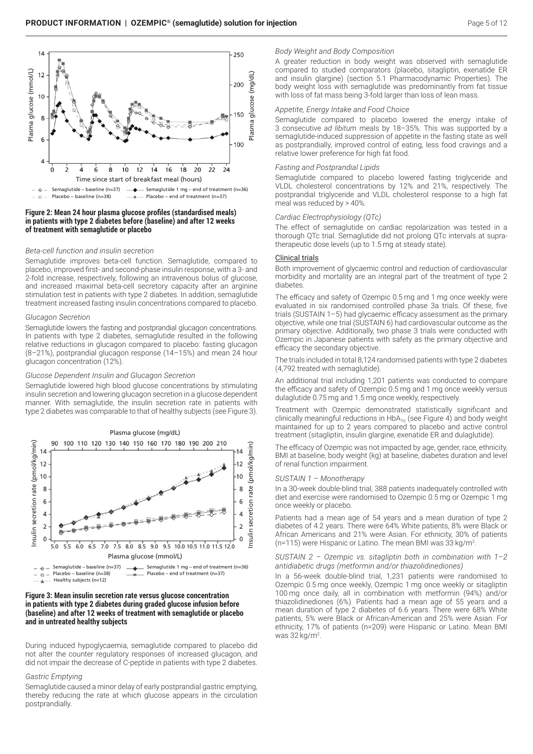

## **Figure 2: Mean 24 hour plasma glucose profiles (standardised meals) in patients with type 2 diabetes before (baseline) and after 12 weeks of treatment with semaglutide or placebo**

## *Beta-cell function and insulin secretion*

Semaglutide improves beta-cell function. Semaglutide, compared to placebo, improved first- and second-phase insulin response, with a 3- and 2-fold increase, respectively, following an intravenous bolus of glucose, and increased maximal beta-cell secretory capacity after an arginine stimulation test in patients with type 2 diabetes. In addition, semaglutide treatment increased fasting insulin concentrations compared to placebo.

#### *Glucagon Secretion*

Semaglutide lowers the fasting and postprandial glucagon concentrations. In patients with type 2 diabetes, semaglutide resulted in the following relative reductions in glucagon compared to placebo: fasting glucagon (8–21%), postprandial glucagon response (14–15%) and mean 24 hour glucagon concentration (12%).

## *Glucose Dependent Insulin and Glucagon Secretion*

Semaglutide lowered high blood glucose concentrations by stimulating insulin secretion and lowering glucagon secretion in a glucose dependent manner. With semaglutide, the insulin secretion rate in patients with type 2 diabetes was comparable to that of healthy subjects (see Figure 3).



<sup>- - -</sup> Healthy subjects (n=12)

## **Figure 3: Mean insulin secretion rate versus glucose concentration in patients with type 2 diabetes during graded glucose infusion before (baseline) and after 12 weeks of treatment with semaglutide or placebo and in untreated healthy subjects**

During induced hypoglycaemia, semaglutide compared to placebo did not alter the counter regulatory responses of increased glucagon, and did not impair the decrease of C-peptide in patients with type 2 diabetes.

#### *Gastric Emptying*

Semaglutide caused a minor delay of early postprandial gastric emptying, thereby reducing the rate at which glucose appears in the circulation postprandially.

## *Body Weight and Body Composition*

A greater reduction in body weight was observed with semaglutide compared to studied comparators (placebo, sitagliptin, exenatide ER and insulin glargine) (section 5.1 Pharmacodynamic Properties). The body weight loss with semaglutide was predominantly from fat tissue with loss of fat mass being 3-fold larger than loss of lean mass.

#### *Appetite, Energy Intake and Food Choice*

Semaglutide compared to placebo lowered the energy intake of 3 consecutive *ad libitum* meals by 18–35%. This was supported by a semaglutide-induced suppression of appetite in the fasting state as well as postprandially, improved control of eating, less food cravings and a relative lower preference for high fat food.

#### *Fasting and Postprandial Lipids*

Semaglutide compared to placebo lowered fasting triglyceride and VLDL cholesterol concentrations by 12% and 21%, respectively. The postprandial triglyceride and VLDL cholesterol response to a high fat meal was reduced by > 40%.

#### *Cardiac Electrophysiology (QTc)*

The effect of semaglutide on cardiac repolarization was tested in a thorough QTc trial. Semaglutide did not prolong QTc intervals at supratherapeutic dose levels (up to 1.5 mg at steady state).

#### Clinical trials

Both improvement of glycaemic control and reduction of cardiovascular morbidity and mortality are an integral part of the treatment of type 2 diabetes.

The efficacy and safety of Ozempic 0.5 mg and 1 mg once weekly were evaluated in six randomised controlled phase 3a trials. Of these, five trials (SUSTAIN 1–5) had glycaemic efficacy assessment as the primary objective, while one trial (SUSTAIN 6) had cardiovascular outcome as the primary objective. Additionally, two phase 3 trials were conducted with Ozempic in Japanese patients with safety as the primary objective and efficacy the secondary objective.

The trials included in total 8,124 randomised patients with type 2 diabetes (4,792 treated with semaglutide).

An additional trial including 1,201 patients was conducted to compare the efficacy and safety of Ozempic 0.5 mg and 1 mg once weekly versus dulaglutide 0.75 mg and 1.5 mg once weekly, respectively.

Treatment with Ozempic demonstrated statistically significant and clinically meaningful reductions in  $HbA_{1c}$  (see Figure 4) and body weight maintained for up to 2 years compared to placebo and active control treatment (sitagliptin, insulin glargine, exenatide ER and dulaglutide).

The efficacy of Ozempic was not impacted by age, gender, race, ethnicity, BMI at baseline, body weight (kg) at baseline, diabetes duration and level of renal function impairment.

## *SUSTAIN 1 – Monotherapy*

In a 30-week double-blind trial, 388 patients inadequately controlled with diet and exercise were randomised to Ozempic 0.5 mg or Ozempic 1 mg once weekly or placebo.

Patients had a mean age of 54 years and a mean duration of type 2 diabetes of 4.2 years. There were 64% White patients, 8% were Black or African Americans and 21% were Asian. For ethnicity, 30% of patients (n=115) were Hispanic or Latino. The mean BMI was 33 kg/m2 .

*SUSTAIN 2 – Ozempic vs. sitagliptin both in combination with 1–2 antidiabetic drugs (metformin and/or thiazolidinediones)*

In a 56-week double-blind trial, 1,231 patients were randomised to Ozempic 0.5 mg once weekly, Ozempic 1 mg once weekly or sitagliptin 100 mg once daily, all in combination with metformin (94%) and/or thiazolidinediones (6%). Patients had a mean age of 55 years and a mean duration of type 2 diabetes of 6.6 years. There were 68% White patients, 5% were Black or African-American and 25% were Asian. For ethnicity, 17% of patients (n=209) were Hispanic or Latino. Mean BMI was 32 kg/m2 .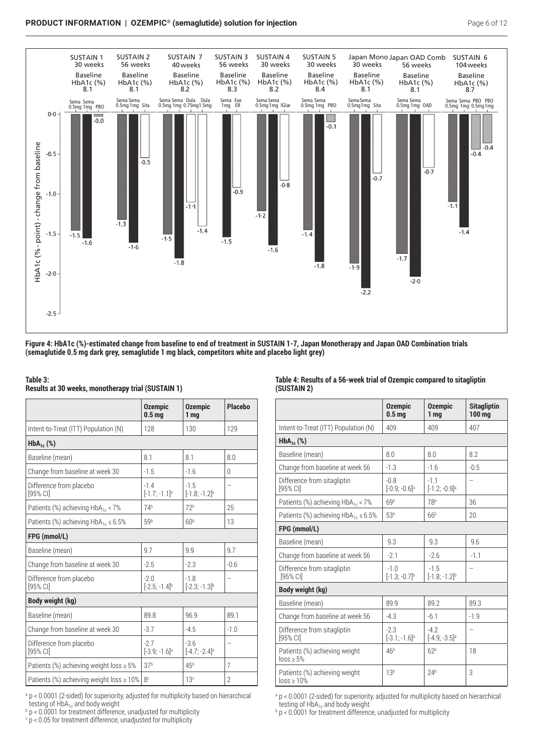

**Figure 4: HbA1c (%)-estimated change from baseline to end of treatment in SUSTAIN 1-7, Japan Monotherapy and Japan OAD Combination trials (semaglutide 0.5 mg dark grey, semaglutide 1 mg black, competitors white and placebo light grey)**

## **Table 3:**

**Results at 30 weeks, monotherapy trial (SUSTAIN 1)**

|                                               | <b>Ozempic</b><br>0.5 <sub>mg</sub>   | <b>Ozempic</b><br>1 <sub>mq</sub>     | <b>Placebo</b> |
|-----------------------------------------------|---------------------------------------|---------------------------------------|----------------|
| Intent-to-Treat (ITT) Population (N)          | 128                                   | 130                                   | 129            |
| $HbA_{1c}$ (%)                                |                                       |                                       |                |
| Baseline (mean)                               | 8.1                                   | 8.1                                   | 8.0            |
| Change from baseline at week 30               | $-1.5$                                | $-1.6$                                | 0              |
| Difference from placebo<br>[95% CI]           | $-1.4$<br>$[-1.7; -1.1]$ <sup>a</sup> | $-1.5$<br>$[-1.8; -1.2]$ <sup>a</sup> | -              |
| Patients (%) achieving $HbA_{1c}$ < 7%        | 74 <sup>b</sup>                       | 72 <sup>b</sup>                       | 25             |
| Patients (%) achieving $HbA_{1c} \le 6.5\%$   | 59 <sup>b</sup>                       | 60 <sup>b</sup>                       | 13             |
| FPG (mmol/L)                                  |                                       |                                       |                |
| Baseline (mean)                               | 9.7                                   | 9.9                                   | 9.7            |
| Change from baseline at week 30               | $-2.5$                                | $-2.3$                                | $-0.6$         |
| Difference from placebo<br>[95% CI]           | $-2.0$<br>$[-2.5; -1.4]$ <sup>b</sup> | $-1.8$<br>$[-2.3; -1.3]^{b}$          | -              |
| Body weight (kg)                              |                                       |                                       |                |
| Baseline (mean)                               | 89.8                                  | 96.9                                  | 89.1           |
| Change from baseline at week 30               | $-3.7$                                | $-4.5$                                | $-1.0$         |
| Difference from placebo<br>$[95%$ CI]         | $-2.7$<br>$[-3.9; -1.6]$ <sup>a</sup> | $-3.6$<br>$[-4.7; -2.4]$ <sup>a</sup> | -              |
| Patients (%) achieving weight loss $\geq 5\%$ | 37 <sup>b</sup>                       | 45 <sup>b</sup>                       | 7              |
| Patients (%) achieving weight loss ≥ 10%      | 8c                                    | 13 <sup>c</sup>                       | $\overline{2}$ |

<sup>a</sup> p < 0.0001 (2-sided) for superiority, adjusted for multiplicity based on hierarchical

testing of HbA<sub>1c</sub> and body weight<br><sup>b</sup> p < 0.0001 for treatment difference, unadjusted for multiplicity

 $\cdot$  p < 0.05 for treatment difference, unadjusted for multiplicity

# **Table 4: Results of a 56-week trial of Ozempic compared to sitagliptin (SUSTAIN 2)**

|                                                  | <b>Ozempic</b><br>0.5 <sub>mg</sub>   | <b>Ozempic</b><br>1 <sub>mg</sub>     | <b>Sitagliptin</b><br>100 <sub>mg</sub> |
|--------------------------------------------------|---------------------------------------|---------------------------------------|-----------------------------------------|
| Intent-to-Treat (ITT) Population (N)             | 409                                   | 409                                   | 407                                     |
| $HbA_{1c}$ (%)                                   |                                       |                                       |                                         |
| Baseline (mean)                                  | 8.0                                   | 8.0                                   | 8.2                                     |
| Change from baseline at week 56                  | $-1.3$                                | $-1.6$                                | $-0.5$                                  |
| Difference from sitagliptin<br>[95% CI]          | $-0.8$<br>$[-0.9; -0.6]$ <sup>a</sup> | $-1.1$<br>$[-1.2; -0.9]$ <sup>a</sup> | -                                       |
| Patients (%) achieving $HbA_{1c} < 7\%$          | 69 <sup>b</sup>                       | 78 <sup>b</sup>                       | 36                                      |
| Patients (%) achieving $HbA_{1c} \le 6.5\%$      | 53 <sup>b</sup>                       | 66 <sup>b</sup>                       | 20                                      |
| FPG (mmol/L)                                     |                                       |                                       |                                         |
| Baseline (mean)                                  | 9.3                                   | 9.3                                   | 9.6                                     |
| Change from baseline at week 56                  | $-2.1$                                | $-2.6$                                | $-1.1$                                  |
| Difference from sitagliptin<br>[95% CI]          | $-1.0$<br>$[-1.3; -0.7]^{b}$          | $-1.5$<br>$[-1.8; -1.2]^{b}$          | -                                       |
| Body weight (kg)                                 |                                       |                                       |                                         |
| Baseline (mean)                                  | 89.9                                  | 89.2                                  | 89.3                                    |
| Change from baseline at week 56                  | $-4.3$                                | $-6.1$                                | $-1.9$                                  |
| Difference from sitagliptin<br>$[95%$ CI         | $-2.3$<br>$[-3.1; -1.6]$ <sup>a</sup> | $-42$<br>$[-4.9; -3.5]$ <sup>a</sup>  | $\overline{\phantom{0}}$                |
| Patients (%) achieving weight<br>$loss \ge 5\%$  | 46 <sup>b</sup>                       | 62 <sup>b</sup>                       | 18                                      |
| Patients (%) achieving weight<br>$loss \ge 10\%$ | 13 <sup>b</sup>                       | 24 <sup>b</sup>                       | 3                                       |

<sup>a</sup> p < 0.0001 (2-sided) for superiority, adjusted for multiplicity based on hierarchical testing of  $HbA_{1c}$  and body weight

**p < 0.0001** for treatment difference, unadjusted for multiplicity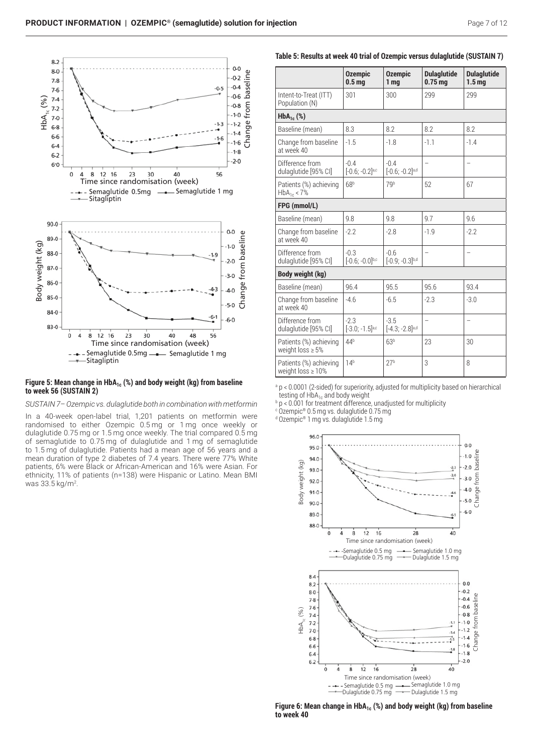

## Figure 5: Mean change in HbA<sub>1c</sub> (%) and body weight (kg) from baseline **to week 56 (SUSTAIN 2)**

*SUSTAIN 7– Ozempic vs. dulaglutide both in combination with metformin* 

In a 40-week open-label trial, 1,201 patients on metformin were randomised to either Ozempic 0.5 mg or 1 mg once weekly or dulaglutide 0.75 mg or 1.5 mg once weekly. The trial compared 0.5 mg of semaglutide to 0.75 mg of dulaglutide and 1 mg of semaglutide to 1.5 mg of dulaglutide. Patients had a mean age of 56 years and a mean duration of type 2 diabetes of 7.4 years. There were 77% White patients, 6% were Black or African-American and 16% were Asian. For ethnicity, 11% of patients (n=138) were Hispanic or Latino. Mean BMI was 33.5 kg/m2 .

# . **Table 5: Results at week 40 trial of Ozempic versus dulaglutide (SUSTAIN 7)**

|                                                  | <b>Ozempic</b><br>0.5 <sub>mg</sub>     | <b>Ozempic</b><br>1 <sub>mg</sub>       | <b>Dulaglutide</b><br>0.75 <sub>mg</sub> | <b>Dulaglutide</b><br>1.5 <sub>mq</sub> |
|--------------------------------------------------|-----------------------------------------|-----------------------------------------|------------------------------------------|-----------------------------------------|
| Intent-to-Treat (ITT)<br>Population (N)          | 301                                     | 300                                     | 299                                      | 299                                     |
| $HbA_{1c}$ (%)                                   |                                         |                                         |                                          |                                         |
| Baseline (mean)                                  | 8.3                                     | 8.2                                     | 8.2                                      | 8.2                                     |
| Change from baseline<br>at week 40               | $-1.5$                                  | $-1.8$                                  | $-1.1$                                   | $-1.4$                                  |
| Difference from<br>dulaglutide [95% CI]          | $-0.4$<br>$[-0.6; -0.2]$ a,c            | $-0.4$<br>$[-0.6; -0.2]$ <sup>a,d</sup> |                                          |                                         |
| Patients (%) achieving<br>$HbA_{1c} < 7\%$       | 68 <sup>b</sup>                         | 7qb                                     | 52                                       | 67                                      |
| FPG (mmol/L)                                     |                                         |                                         |                                          |                                         |
| Baseline (mean)                                  | 9.8                                     | 9.8                                     | 9.7                                      | 9.6                                     |
| Change from baseline<br>at week 40               | $-2.2$                                  | $-2.8$                                  | $-1.9$                                   | $-2.2$                                  |
| Difference from<br>dulaglutide [95% CI]          | $-0.3$<br>$[-0.6; -0.0]$ b,c            | $-0.6$<br>$[-0.9; -0.3]^{b,d}$          | $\overline{\phantom{0}}$                 | $\overline{a}$                          |
| Body weight (kg)                                 |                                         |                                         |                                          |                                         |
| Baseline (mean)                                  | 96.4                                    | 95.5                                    | 95.6                                     | 93.4                                    |
| Change from baseline<br>at week 40               | $-4.6$                                  | $-6.5$                                  | $-2.3$                                   | $-3.0$                                  |
| Difference from<br>dulaglutide [95% CI]          | $-2.3$<br>$[-3.0; -1.5]$ <sub>a,c</sub> | $-3.5$<br>$[-4.3; -2.8]$ a,d            | -                                        | $\overline{\phantom{0}}$                |
| Patients (%) achieving<br>weight loss $\geq 5\%$ | 44 <sup>b</sup>                         | 63 <sup>b</sup>                         | 23                                       | 30                                      |
| Patients (%) achieving<br>weight $loss \ge 10\%$ | 14 <sup>b</sup>                         | 27 <sup>b</sup>                         | 3                                        | 8                                       |

<sup>a</sup> p < 0.0001 (2-sided) for superiority, adjusted for multiplicity based on hierarchical testing of HbA<sub>1c</sub> and body weight

 $b$  p < 0.001 for treatment difference, unadjusted for multiplicity

c Ozempic® 0.5 mg vs. dulaglutide 0.75 mg d Ozempic® 1 mg vs. dulaglutide 1.5 mg

> . . . . . ange from baseline . . . Change from baseline dy weight (kg) . 94.0 Body weight (kg) Body weight (kg) . . . . . . . from  $|$ .  $-30$ . . . Change . . . . . . . . .  $-6.0$ 89.0 . . 88.0  $40$  $\frac{1}{2}$ À 8 12 16 28 Time since randomisation (week) - Semaglutide 1.0 mg<br>- Dulaglutide 1.5 mg -Semaglutide 0.5 mg ——— Semaglutide 1.0 m Dulaglutide 0.75 mg 84 . . . . . . . from baseline Change from baseline . . . . Change from baseli . . . .  $HbA_{1c}$  (%) . . . . . . . . . .<br>1.4 . . . . Change f . . . . . . . . . . . . . . . . . . . .  $\dot{0}$  $\frac{1}{4}$  $\frac{1}{8}$  $12$  $16$  $28$  $40$ Time since randomisation (week) Semaglutide 1.0 mg - Semaglutide 0.5 mg - Semaglutide 0.5 mg —— Semaglutide 1.0 m<br>Dulaglutide 0.75 mg —— Dulaglutide 1.5 mg Dulaglutide 1.5 mg Dulaglutide 0.75 mg <del>- + - D</del>ulaglutide 1.5 mg<br>-

Figure 6: Mean change in HbA<sub>1c</sub> (%) and body weight (kg) from baseline **to week 40**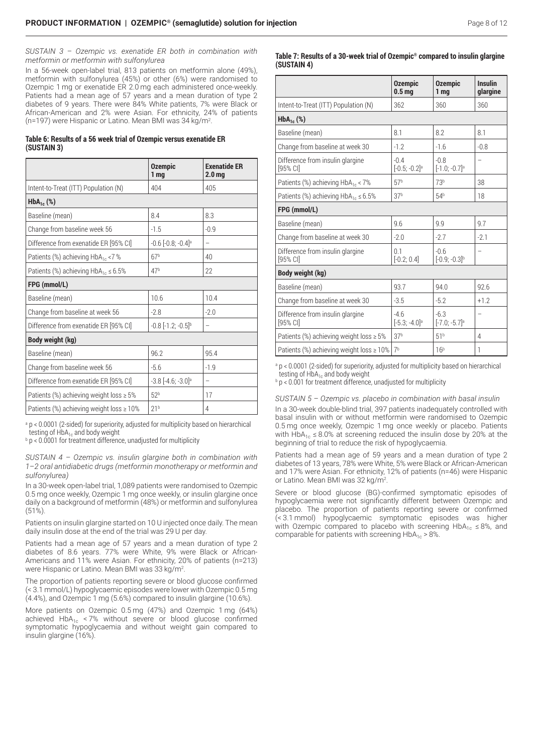*SUSTAIN 3 – Ozempic vs. exenatide ER both in combination with metformin or metformin with sulfonylurea*

In a 56-week open-label trial, 813 patients on metformin alone (49%), metformin with sulfonylurea (45%) or other (6%) were randomised to Ozempic 1 mg or exenatide ER 2.0 mg each administered once-weekly. Patients had a mean age of 57 years and a mean duration of type 2 diabetes of 9 years. There were 84% White patients, 7% were Black or African-American and 2% were Asian. For ethnicity, 24% of patients (n=197) were Hispanic or Latino. Mean BMI was 34 kg/m2 .

|             |  | Table 6: Results of a 56 week trial of Ozempic versus exenatide ER |  |
|-------------|--|--------------------------------------------------------------------|--|
| (SUSTAIN 3) |  |                                                                    |  |

|                                                | <b>Ozempic</b><br>1 <sub>mg</sub>  | <b>Exenatide ER</b><br>2.0 <sub>mg</sub> |
|------------------------------------------------|------------------------------------|------------------------------------------|
| Intent-to-Treat (ITT) Population (N)           | 404                                | 405                                      |
| $HbA_{1c}$ (%)                                 |                                    |                                          |
| Baseline (mean)                                | 8.4                                | 8.3                                      |
| Change from baseline week 56                   | $-1.5$                             | $-0.9$                                   |
| Difference from exenatide ER [95% CI]          | $-0.6$ $[-0.8; -0.4]$ <sup>a</sup> |                                          |
| Patients (%) achieving HbA <sub>1c</sub> <7 %  | 67 <sup>b</sup>                    | 40                                       |
| Patients (%) achieving $HbA_{1c} \le 6.5\%$    | 47 <sup>b</sup>                    | 22                                       |
| FPG (mmol/L)                                   |                                    |                                          |
| Baseline (mean)                                | 10.6                               | 10.4                                     |
| Change from baseline at week 56                | $-2.8$                             | $-2.0$                                   |
| Difference from exenatide ER [95% CI]          | $-0.8$ $[-1.2; -0.5]$ <sup>b</sup> |                                          |
| Body weight (kg)                               |                                    |                                          |
| Baseline (mean)                                | 96.2                               | 95.4                                     |
| Change from baseline week 56                   | $-5.6$                             | $-1.9$                                   |
| Difference from exenatide ER [95% CI]          | $-3.8$ $[-4.6; -3.0]$ <sup>a</sup> | -                                        |
| Patients (%) achieving weight loss $\geq 5\%$  | 52 <sup>b</sup>                    | 17                                       |
| Patients (%) achieving weight loss $\geq 10\%$ | 21 <sup>b</sup>                    | 4                                        |

<sup>a</sup> p < 0.0001 (2-sided) for superiority, adjusted for multiplicity based on hierarchical testing of  $H\ddot{\theta}A_{1c}$  and body weight

 $b$  p < 0.0001 for treatment difference, unadjusted for multiplicity

*SUSTAIN 4 – Ozempic vs. insulin glargine both in combination with 1–2 oral antidiabetic drugs (metformin monotherapy or metformin and sulfonylurea)*

In a 30-week open-label trial, 1,089 patients were randomised to Ozempic 0.5 mg once weekly, Ozempic 1 mg once weekly, or insulin glargine once daily on a background of metformin (48%) or metformin and sulfonylurea (51%).

Patients on insulin glargine started on 10 U injected once daily. The mean daily insulin dose at the end of the trial was 29 U per day.

Patients had a mean age of 57 years and a mean duration of type 2 diabetes of 8.6 years. 77% were White, 9% were Black or African-Americans and 11% were Asian. For ethnicity, 20% of patients (n=213) were Hispanic or Latino. Mean BMI was 33 kg/m<sup>2</sup>.

The proportion of patients reporting severe or blood glucose confirmed (< 3.1 mmol/L) hypoglycaemic episodes were lower with Ozempic 0.5 mg (4.4%), and Ozempic 1 mg (5.6%) compared to insulin glargine (10.6%).

More patients on Ozempic 0.5 mg (47%) and Ozempic 1 mg (64%) achieved  $HbA_{1c}$  < 7% without severe or blood glucose confirmed symptomatic hypoglycaemia and without weight gain compared to insulin glargine (16%)

**Table 7: Results of a 30-week trial of Ozempic® compared to insulin glargine (SUSTAIN 4)**

|                                                | <b>Ozempic</b><br>0.5 <sub>mg</sub>   | <b>Ozempic</b><br>1 <sub>mg</sub>     | <b>Insulin</b><br>glargine |
|------------------------------------------------|---------------------------------------|---------------------------------------|----------------------------|
| Intent-to-Treat (ITT) Population (N)           | 362                                   | 360                                   | 360                        |
| $HbA_{1c}$ (%)                                 |                                       |                                       |                            |
| Baseline (mean)                                | 8.1                                   | 8.2                                   | 8.1                        |
| Change from baseline at week 30                | $-1.2$                                | $-1.6$                                | $-0.8$                     |
| Difference from insulin glargine<br>$[95%$ CI] | $-0.4$<br>$[-0.5; -0.2]$ <sup>a</sup> | $-0.8$<br>$[-1.0; -0.7]$ <sup>a</sup> | -                          |
| Patients (%) achieving HbA <sub>1c</sub> < 7%  | 57 <sup>b</sup>                       | 73 <sup>b</sup>                       | 38                         |
| Patients (%) achieving $HbA_{1c} \le 6.5\%$    | 37 <sup>b</sup>                       | 54 <sup>b</sup>                       | 18                         |
| FPG (mmol/L)                                   |                                       |                                       |                            |
| Baseline (mean)                                | 9.6                                   | 9.9                                   | 9.7                        |
| Change from baseline at week 30                | $-2.0$                                | $-2.7$                                | $-2.1$                     |
| Difference from insulin glargine<br>[95% CI]   | 0.1<br>$[-0.2; 0.4]$                  | $-0.6$<br>$[-0.9; -0.3]$ <sup>b</sup> | -                          |
| <b>Body weight (kg)</b>                        |                                       |                                       |                            |
| Baseline (mean)                                | 93.7                                  | 94.0                                  | 92.6                       |
| Change from baseline at week 30                | $-3.5$                                | $-5.2$                                | $+1.2$                     |
| Difference from insulin glargine<br>[95% CI]   | $-4.6$<br>$[-5.3; -4.0]$ <sup>a</sup> | $-6.3$<br>$[-7.0; -5.7]$ <sup>a</sup> | -                          |
| Patients (%) achieving weight loss $\geq 5\%$  | 37 <sup>b</sup>                       | 51 <sup>b</sup>                       | 4                          |
| Patients (%) achieving weight loss ≥ 10%       | 7 <sup>b</sup>                        | 16 <sup>b</sup>                       | 1                          |

a p < 0.0001 (2-sided) for superiority, adjusted for multiplicity based on hierarchical testing of  $HbA_{1c}$  and body weight

 $b$  p < 0.001 for treatment difference, unadjusted for multiplicity

*SUSTAIN 5 – Ozempic vs. placebo in combination with basal insulin* In a 30-week double-blind trial, 397 patients inadequately controlled with basal insulin with or without metformin were randomised to Ozempic 0.5 mg once weekly, Ozempic 1 mg once weekly or placebo. Patients with  $HbA_{1c} \leq 8.0\%$  at screening reduced the insulin dose by 20% at the beginning of trial to reduce the risk of hypoglycaemia.

Patients had a mean age of 59 years and a mean duration of type 2 diabetes of 13 years, 78% were White, 5% were Black or African-American and 17% were Asian. For ethnicity, 12% of patients (n=46) were Hispanic or Latino. Mean BMI was 32 kg/m<sup>2</sup>.

Severe or blood glucose (BG)-confirmed symptomatic episodes of hypoglycaemia were not significantly different between Ozempic and placebo. The proportion of patients reporting severe or confirmed (< 3.1 mmol) hypoglycaemic symptomatic episodes was higher with Ozempic compared to placebo with screening  $HbA_{1c} \leq 8\%$ , and comparable for patients with screening  $HbA_{1c} > 8\%$ .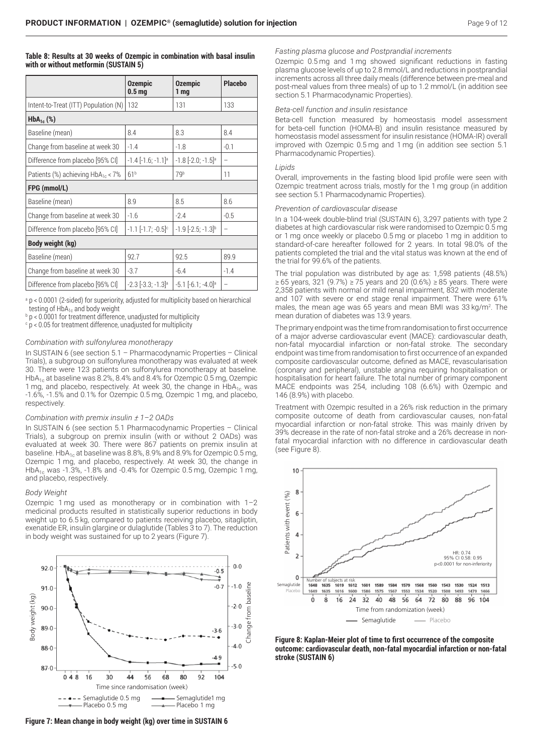## **Table 8: Results at 30 weeks of Ozempic in combination with basal insulin with or without metformin (SUSTAIN 5)**

|                                         | <b>Ozempic</b><br>0.5 <sub>mg</sub> | <b>Ozempic</b><br>1 mg             | <b>Placebo</b>           |
|-----------------------------------------|-------------------------------------|------------------------------------|--------------------------|
| Intent-to-Treat (ITT) Population (N)    | 132                                 | 131                                | 133                      |
| $HbA_{1c}$ (%)                          |                                     |                                    |                          |
| Baseline (mean)                         | 8.4                                 | 8.3                                | 8.4                      |
| Change from baseline at week 30         | $-1.4$                              | $-1.8$                             | $-0.1$                   |
| Difference from placebo [95% CI]        | $-1.4$ $[-1.6; -1.1]$ <sup>a</sup>  | $-1.8$ $[-2.0; -1.5]$ <sup>a</sup> | $\overline{\phantom{0}}$ |
| Patients (%) achieving $HbA_{1c} < 7\%$ | 61 <sup>b</sup>                     | 79b                                | 11                       |
| FPG (mmol/L)                            |                                     |                                    |                          |
| Baseline (mean)                         | 8.9                                 | 8.5                                | 8.6                      |
| Change from baseline at week 30         | $-1.6$                              | $-2.4$                             | $-0.5$                   |
| Difference from placebo [95% CI]        | $-1.1$ $[-1.7; -0.5]$ <sup>c</sup>  | $-1.9$ $[-2.5; -1.3]$ <sup>b</sup> | $\overline{\phantom{0}}$ |
| Body weight (kg)                        |                                     |                                    |                          |
| Baseline (mean)                         | 92.7                                | 92.5                               | 89.9                     |
| Change from baseline at week 30         | $-3.7$                              | $-6.4$                             | $-1.4$                   |
| Difference from placebo [95% CI]        | $-2.3$ $[-3.3; -1.3]$ <sup>a</sup>  | $-5.1$ $[-6.1; -4.0]$ <sup>a</sup> | -                        |

<sup>a</sup> p < 0.0001 (2-sided) for superiority, adjusted for multiplicity based on hierarchical testing of  $HbA_{1c}$  and body weight

 $b$  p < 0.0001 for treatment difference, unadjusted for multiplicity

c p < 0.05 for treatment difference, unadjusted for multiplicity

#### *Combination with sulfonylurea monotherapy*

In SUSTAIN 6 (see section 5.1 – Pharmacodynamic Properties – Clinical Trials), a subgroup on sulfonylurea monotherapy was evaluated at week 30. There were 123 patients on sulfonylurea monotherapy at baseline. Hb $A_{1c}$  at baseline was 8.2%, 8.4% and 8.4% for Ozempic 0.5 mg, Ozempic 1 mg, and placebo, respectively. At week 30, the change in  $HbA_{1c}$  was -1.6%, -1.5% and 0.1% for Ozempic 0.5 mg, Ozempic 1 mg, and placebo, respectively.

#### *Combination with premix insulin ± 1–2 OADs*

In SUSTAIN 6 (see section 5.1 Pharmacodynamic Properties – Clinical Trials), a subgroup on premix insulin (with or without 2 OADs) was evaluated at week 30. There were 867 patients on premix insulin at baseline. HbA $_{1c}$  at baseline was 8.8%, 8.9% and 8.9% for Ozempic 0.5 mg, Ozempic 1 mg, and placebo, respectively. At week 30, the change in HbA<sub>1c</sub> was -1.3%, -1.8% and -0.4% for Ozempic 0.5 mg, Ozempic 1 mg, and placebo, respectively.

#### *Body Weight*

Ozempic 1 mg used as monotherapy or in combination with 1–2 medicinal products resulted in statistically superior reductions in body weight up to 6.5 kg, compared to patients receiving placebo, sitagliptin, exenatide ER, insulin glargine or dulaglutide (Tables 3 to 7). The reduction in body weight was sustained for up to 2 years (Figure 7).



**Figure 7: Mean change in body weight (kg) over time in SUSTAIN 6**

## *Fasting plasma glucose and Postprandial increments*

Ozempic 0.5 mg and 1 mg showed significant reductions in fasting plasma glucose levels of up to 2.8 mmol/L and reductions in postprandial increments across all three daily meals (difference between pre-meal and post-meal values from three meals) of up to 1.2 mmol/L (in addition see section 5.1 Pharmacodynamic Properties).

#### *Beta-cell function and insulin resistance*

Beta-cell function measured by homeostasis model assessment for beta-cell function (HOMA-B) and insulin resistance measured by homeostasis model assessment for insulin resistance (HOMA-IR) overall improved with Ozempic 0.5 mg and 1 mg (in addition see section 5.1 Pharmacodynamic Properties).

## *Lipids*

Overall, improvements in the fasting blood lipid profile were seen with Ozempic treatment across trials, mostly for the 1 mg group (in addition see section 5.1 Pharmacodynamic Properties).

#### *Prevention of cardiovascular disease*

In a 104-week double-blind trial (SUSTAIN 6), 3,297 patients with type 2 diabetes at high cardiovascular risk were randomised to Ozempic 0.5 mg or 1 mg once weekly or placebo 0.5 mg or placebo 1 mg in addition to standard-of-care hereafter followed for 2 years. In total 98.0% of the patients completed the trial and the vital status was known at the end of the trial for 99.6% of the patients.

The trial population was distributed by age as: 1,598 patients (48.5%) ≥ 65 years, 321 (9.7%) ≥ 75 years and 20 (0.6%) ≥ 85 years. There were 2,358 patients with normal or mild renal impairment, 832 with moderate and 107 with severe or end stage renal impairment. There were 61% males, the mean age was 65 years and mean BMI was 33 kg/m<sup>2</sup>. The mean duration of diabetes was 13.9 years.

The primary endpoint was the time from randomisation to first occurrence of a major adverse cardiovascular event (MACE): cardiovascular death, non-fatal myocardial infarction or non-fatal stroke. The secondary endpoint was time from randomisation to first occurrence of an expanded composite cardiovascular outcome, defined as MACE, revascularisation (coronary and peripheral), unstable angina requiring hospitalisation or hospitalisation for heart failure. The total number of primary component MACE endpoints was 254, including 108 (6.6%) with Ozempic and 146 (8.9%) with placebo.

Treatment with Ozempic resulted in a 26% risk reduction in the primary composite outcome of death from cardiovascular causes, non-fatal myocardial infarction or non-fatal stroke. This was mainly driven by 39% decrease in the rate of non-fatal stroke and a 26% decrease in nonfatal myocardial infarction with no difference in cardiovascular death (see Figure 8).



**Figure 8: Kaplan-Meier plot of time to first occurrence of the composite outcome: cardiovascular death, non-fatal myocardial infarction or non-fatal stroke (SUSTAIN 6)**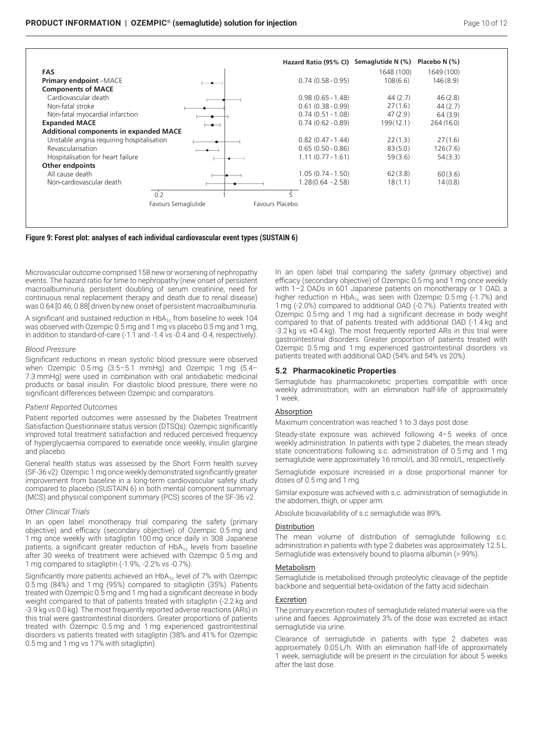



Microvascular outcome comprised 158 new or worsening of nephropathy events. The hazard ratio for time to nephropathy (new onset of persistent macroalbuminuria, persistent doubling of serum creatinine, need for continuous renal replacement therapy and death due to renal disease) was 0.64 [0.46; 0.88] driven by new onset of persistent macroalbuminuria.

A significant and sustained reduction in  $HbA_{1c}$  from baseline to week 104 was observed with Ozempic 0.5 mg and 1 mg vs placebo 0.5 mg and 1 mg, in addition to standard-of-care (-1.1 and -1.4 vs -0.4 and -0.4, respectively).

## *Blood Pressure*

Significant reductions in mean systolic blood pressure were observed when Ozempic 0.5 mg (3.5–5.1 mmHg) and Ozempic 1 mg (5.4– 7.3 mmHg) were used in combination with oral antidiabetic medicinal products or basal insulin. For diastolic blood pressure, there were no significant differences between Ozempic and comparators.

#### *Patient Reported Outcomes*

Patient reported outcomes were assessed by the Diabetes Treatment Satisfaction Questionnaire status version (DTSQs): Ozempic significantly improved total treatment satisfaction and reduced perceived frequency of hyperglycaemia compared to exenatide once weekly, insulin glargine and placebo.

General health status was assessed by the Short Form health survey (SF-36 v2): Ozempic 1 mg once weekly demonstrated significantly greater improvement from baseline in a long-term cardiovascular safety study compared to placebo (SUSTAIN 6) in both mental component summary (MCS) and physical component summary (PCS) scores of the SF-36 v2.

#### *Other Clinical Trials*

In an open label monotherapy trial comparing the safety (primary objective) and efficacy (secondary objective) of Ozempic 0.5 mg and 1 mg once weekly with sitagliptin 100 mg once daily in 308 Japanese patients, a significant greater reduction of  $HbA_{1c}$  levels from baseline after 30 weeks of treatment were achieved with Ozempic 0.5 mg and 1 mg compared to sitagliptin (-1.9%, -2.2% vs -0.7%).

Significantly more patients achieved an  $HbA_{1c}$  level of 7% with Ozempic 0.5 mg (84%) and 1 mg (95%) compared to sitagliptin (35%). Patients treated with Ozempic 0.5 mg and 1 mg had a significant decrease in body weight compared to that of patients treated with sitagliptin (-2.2 kg and -3.9 kg vs 0.0 kg). The most frequently reported adverse reactions (ARs) in this trial were gastrointestinal disorders. Greater proportions of patients treated with Ozempic 0.5 mg and 1 mg experienced gastrointestinal disorders vs patients treated with sitagliptin (38% and 41% for Ozempic 0.5 mg and 1 mg vs 17% with sitagliptin).

In an open label trial comparing the safety (primary objective) and efficacy (secondary objective) of Ozempic 0.5 mg and 1 mg once weekly with 1–2 OADs in 601 Japanese patients on monotherapy or 1 OAD, a higher reduction in  $HbA_{1c}$  was seen with Ozempic 0.5 mg (-1.7%) and 1 mg (-2.0%) compared to additional OAD (-0.7%). Patients treated with Ozempic 0.5 mg and 1 mg had a significant decrease in body weight compared to that of patients treated with additional OAD (-1.4 kg and -3.2 kg vs +0.4 kg). The most frequently reported ARs in this trial were gastrointestinal disorders. Greater proportion of patients treated with Ozempic 0.5 mg and 1 mg experienced gastrointestinal disorders vs patients treated with additional OAD (54% and 54% vs 20%).

#### **5.2 Pharmacokinetic Properties**

Semaglutide has pharmacokinetic properties compatible with once weekly administration, with an elimination half-life of approximately 1 week.

#### Absorption

Maximum concentration was reached 1 to 3 days post dose.

Steady-state exposure was achieved following 4–5 weeks of once weekly administration. In patients with type 2 diabetes, the mean steady state concentrations following s.c. administration of 0.5 mg and 1 mg semaglutide were approximately 16 nmol/L and 30 nmol/L, respectively.

Semaglutide exposure increased in a dose proportional manner for doses of 0.5 mg and 1 mg.

Similar exposure was achieved with s.c. administration of semaglutide in the abdomen, thigh, or upper arm.

Absolute bioavailability of s.c semaglutide was 89%.

#### Distribution

The mean volume of distribution of semaglutide following s.c. administration in patients with type 2 diabetes was approximately 12.5 L. Semaglutide was extensively bound to plasma albumin (> 99%).

#### **Metabolism**

Semaglutide is metabolised through proteolytic cleavage of the peptide backbone and sequential beta-oxidation of the fatty acid sidechain.

#### Excretion

The primary excretion routes of semaglutide related material were via the urine and faeces. Approximately 3% of the dose was excreted as intact semaglutide via urine.

Clearance of semaglutide in patients with type 2 diabetes was approximately 0.05 L/h. With an elimination half-life of approximately 1 week, semaglutide will be present in the circulation for about 5 weeks after the last dose.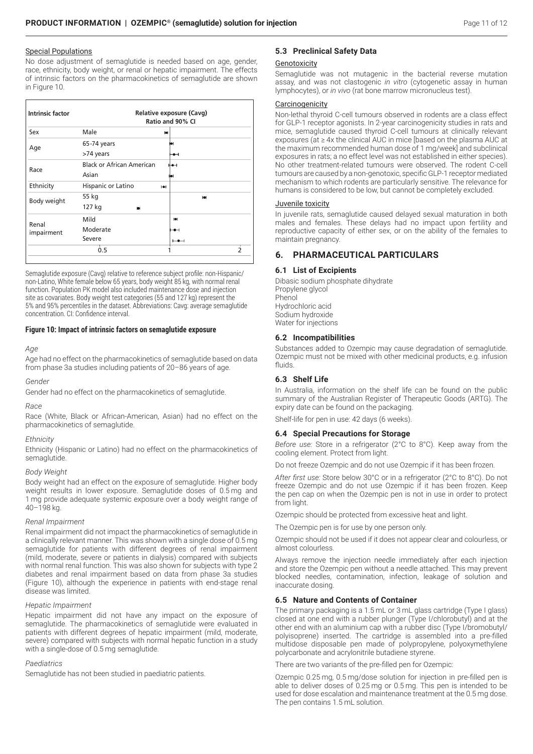# Special Populations

No dose adjustment of semaglutide is needed based on age, gender, race, ethnicity, body weight, or renal or hepatic impairment. The effects of intrinsic factors on the pharmacokinetics of semaglutide are shown in Figure 10.

| <b>Intrinsic factor</b><br>Relative exposure (Cavg)<br>Ratio and 90% CI |                                  |    |             |                          |
|-------------------------------------------------------------------------|----------------------------------|----|-------------|--------------------------|
| Sex                                                                     | Male                             | ю  |             |                          |
| Age                                                                     | 65-74 years                      |    |             |                          |
|                                                                         | >74 years                        |    |             |                          |
| Race                                                                    | <b>Black or African American</b> | ⊬⊷ |             |                          |
|                                                                         | Asian                            |    |             |                          |
| Ethnicity                                                               | Hispanic or Latino               | н  |             |                          |
| Body weight                                                             | 55 kg                            |    | <b>Laid</b> |                          |
|                                                                         | 127 kg                           |    |             |                          |
|                                                                         | Mild                             | ЮH |             |                          |
| Renal<br>impairment                                                     | Moderate                         | ⊷  |             |                          |
|                                                                         | Severe                           |    |             |                          |
|                                                                         | 0.5                              |    |             | $\overline{\phantom{a}}$ |

Semaglutide exposure (Cavg) relative to reference subject profile: non-Hispanic/ non-Latino, White female below 65 years, body weight 85 kg, with normal renal function. Population PK model also included maintenance dose and injection site as covariates. Body weight test categories (55 and 127 kg) represent the 5% and 95% percentiles in the dataset. Abbreviations: Cavg: average semaglutide concentration. CI: Confidence interval.

## **Figure 10: Impact of intrinsic factors on semaglutide exposure**

#### *Age*

Age had no effect on the pharmacokinetics of semaglutide based on data from phase 3a studies including patients of 20–86 years of age.

#### *Gender*

Gender had no effect on the pharmacokinetics of semaglutide.

#### *Race*

Race (White, Black or African-American, Asian) had no effect on the pharmacokinetics of semaglutide.

#### *Ethnicity*

Ethnicity (Hispanic or Latino) had no effect on the pharmacokinetics of semaglutide.

#### *Body Weight*

Body weight had an effect on the exposure of semaglutide. Higher body weight results in lower exposure. Semaglutide doses of 0.5 mg and 1 mg provide adequate systemic exposure over a body weight range of 40–198 kg.

## *Renal Impairment*

Renal impairment did not impact the pharmacokinetics of semaglutide in a clinically relevant manner. This was shown with a single dose of 0.5 mg semaglutide for patients with different degrees of renal impairment (mild, moderate, severe or patients in dialysis) compared with subjects with normal renal function. This was also shown for subjects with type 2 diabetes and renal impairment based on data from phase 3a studies (Figure 10), although the experience in patients with end-stage renal disease was limited.

#### *Hepatic Impairment*

Hepatic impairment did not have any impact on the exposure of semaglutide. The pharmacokinetics of semaglutide were evaluated in patients with different degrees of hepatic impairment (mild, moderate, severe) compared with subjects with normal hepatic function in a study with a single-dose of 0.5 mg semaglutide.

## *Paediatrics*

Semaglutide has not been studied in paediatric patients.

## **5.3 Preclinical Safety Data**

### Genotoxicity

Semaglutide was not mutagenic in the bacterial reverse mutation assay, and was not clastogenic *in vitro* (cytogenetic assay in human lymphocytes), or *in vivo* (rat bone marrow micronucleus test).

## **Carcinogenicity**

Non-lethal thyroid C-cell tumours observed in rodents are a class effect for GLP-1 receptor agonists. In 2-year carcinogenicity studies in rats and mice, semaglutide caused thyroid C-cell tumours at clinically relevant exposures (at ≥ 4x the clinical AUC in mice [based on the plasma AUC at the maximum recommended human dose of 1 mg/week] and subclinical exposures in rats; a no effect level was not established in either species). No other treatment-related tumours were observed. The rodent C-cell tumours are caused by a non-genotoxic, specific GLP-1 receptor mediated mechanism to which rodents are particularly sensitive. The relevance for humans is considered to be low, but cannot be completely excluded.

#### Juvenile toxicity

In juvenile rats, semaglutide caused delayed sexual maturation in both males and females. These delays had no impact upon fertility and reproductive capacity of either sex, or on the ability of the females to maintain pregnancy.

## **6. PHARMACEUTICAL PARTICULARS**

## **6.1 List of Excipients**

Dibasic sodium phosphate dihydrate Propylene glycol Phenol Hydrochloric acid Sodium hydroxide Water for injections

## **6.2 Incompatibilities**

Substances added to Ozempic may cause degradation of semaglutide. Ozempic must not be mixed with other medicinal products, e.g. infusion fluids.

## **6.3 Shelf Life**

In Australia, information on the shelf life can be found on the public summary of the Australian Register of Therapeutic Goods (ARTG). The expiry date can be found on the packaging.

Shelf-life for pen in use: 42 days (6 weeks).

## **6.4 Special Precautions for Storage**

*Before use:* Store in a refrigerator (2°C to 8°C). Keep away from the cooling element. Protect from light.

Do not freeze Ozempic and do not use Ozempic if it has been frozen.

*After first use:* Store below 30°C or in a refrigerator (2°C to 8°C). Do not freeze Ozempic and do not use Ozempic if it has been frozen. Keep the pen cap on when the Ozempic pen is not in use in order to protect from light.

Ozempic should be protected from excessive heat and light.

The Ozempic pen is for use by one person only.

Ozempic should not be used if it does not appear clear and colourless, or almost colourless.

Always remove the injection needle immediately after each injection and store the Ozempic pen without a needle attached. This may prevent blocked needles, contamination, infection, leakage of solution and inaccurate dosing.

## **6.5 Nature and Contents of Container**

The primary packaging is a 1.5 mL or 3 mL glass cartridge (Type I glass) closed at one end with a rubber plunger (Type I/chlorobutyl) and at the other end with an aluminium cap with a rubber disc (Type I/bromobutyl/ polyisoprene) inserted. The cartridge is assembled into a pre-filled multidose disposable pen made of polypropylene, polyoxymethylene polycarbonate and acrylonitrile butadiene styrene.

There are two variants of the pre-filled pen for Ozempic:

Ozempic 0.25 mg, 0.5 mg/dose solution for injection in pre-filled pen is able to deliver doses of 0.25 mg or 0.5 mg. This pen is intended to be used for dose escalation and maintenance treatment at the 0.5 mg dose. The pen contains 1.5 mL solution.